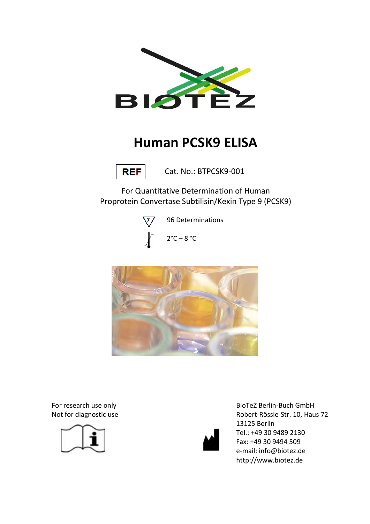

# **Human PCSK9 ELISA**



Cat. No.: BTPCSK9-001

For Quantitative Determination of Human Proprotein Convertase Subtilisin/Kexin Type 9 (PCSK9)



96 Determinations





For research use only Not for diagnostic use





BioTeZ Berlin-Buch GmbH Robert-Rössle-Str. 10, Haus 72 13125 Berlin Tel.: +49 30 9489 2130 Fax: +49 30 9494 509 e-mail: info@biotez.de http://www.biotez.de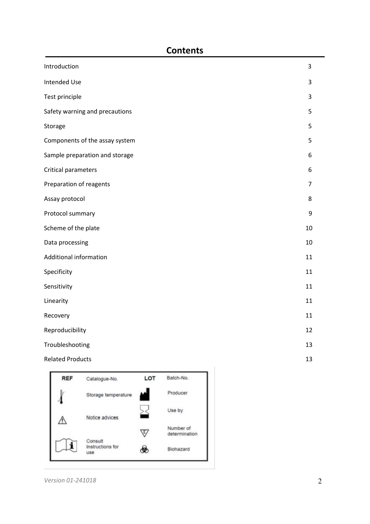# **Contents**

| Introduction                   | $\overline{3}$ |
|--------------------------------|----------------|
| <b>Intended Use</b>            | 3              |
| Test principle                 | 3              |
| Safety warning and precautions | 5              |
| Storage                        | 5              |
| Components of the assay system | 5              |
| Sample preparation and storage | 6              |
| Critical parameters            | 6              |
| Preparation of reagents        | $\overline{7}$ |
| Assay protocol                 | 8              |
| Protocol summary               | 9              |
| Scheme of the plate            | 10             |
| Data processing                | 10             |
| Additional information         | 11             |
| Specificity                    | 11             |
| Sensitivity                    | 11             |
| Linearity                      | 11             |
| Recovery                       | 11             |
| Reproducibility                | 12             |
| Troubleshooting                | 13             |
| <b>Related Products</b>        | 13             |



*Version 01-241018* 2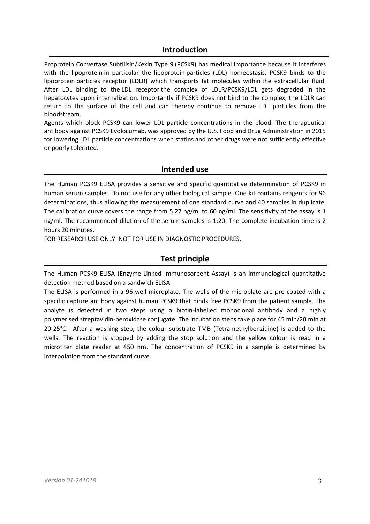## **Introduction**

Proprotein Convertase Subtilisin/Kexin Type 9 (PCSK9) has medical importance because it interferes with the lipoprotein in particular the lipoprotein particles (LDL) homeostasis. PCSK9 binds to the lipoprotein particles receptor (LDLR) which transports fat molecules within the extracellular fluid. After LDL binding to the LDL receptor the complex of LDLR/PCSK9/LDL gets degraded in the hepatocytes upon internalization. Importantly if PCSK9 does not bind to the complex, the LDLR can return to the surface of the cell and can thereby continue to remove LDL particles from the bloodstream.

Agents which block PCSK9 can lower LDL particle concentrations in the blood. The therapeutical antibody against PCSK9 Evolocumab, was approved by the U.S. Food and Drug Administration in 2015 for lowering LDL particle concentrations when statins and other drugs were not sufficiently effective or poorly tolerated.

#### **Intended use**

The Human PCSK9 ELISA provides a sensitive and specific quantitative determination of PCSK9 in human serum samples. Do not use for any other biological sample. One kit contains reagents for 96 determinations, thus allowing the measurement of one standard curve and 40 samples in duplicate. The calibration curve covers the range from 5.27 ng/ml to 60 ng/ml. The sensitivity of the assay is 1 ng/ml. The recommended dilution of the serum samples is 1:20. The complete incubation time is 2 hours 20 minutes.

FOR RESEARCH USE ONLY. NOT FOR USE IN DIAGNOSTIC PROCEDURES.

## **Test principle**

The Human PCSK9 ELISA (Enzyme-Linked Immunosorbent Assay) is an immunological quantitative detection method based on a sandwich ELISA.

The ELISA is performed in a 96-well microplate. The wells of the microplate are pre-coated with a specific capture antibody against human PCSK9 that binds free PCSK9 from the patient sample. The analyte is detected in two steps using a biotin-labelled monoclonal antibody and a highly polymerised streptavidin-peroxidase conjugate. The incubation steps take place for 45 min/20 min at 20-25°C. After a washing step, the colour substrate TMB (Tetramethylbenzidine) is added to the wells. The reaction is stopped by adding the stop solution and the yellow colour is read in a microtiter plate reader at 450 nm. The concentration of PCSK9 in a sample is determined by interpolation from the standard curve.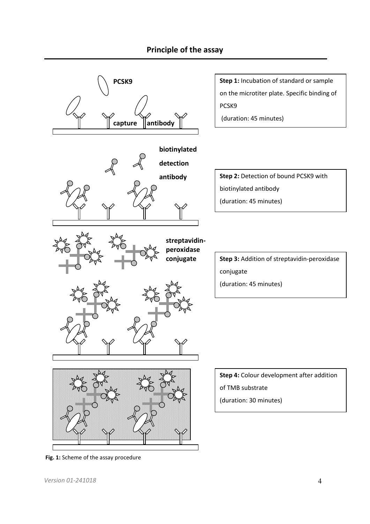# **Principle of the assay**



 **Fig. 1:** Scheme of the assay procedure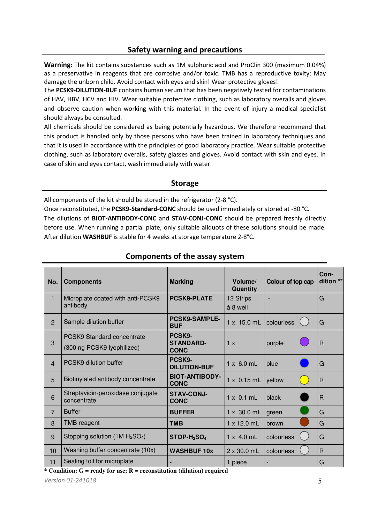# **Safety warning and precautions**

**Warning**: The kit contains substances such as 1M sulphuric acid and ProClin 300 (maximum 0.04%) as a preservative in reagents that are corrosive and/or toxic. TMB has a reproductive toxity: May damage the unborn child. Avoid contact with eyes and skin! Wear protective gloves!

The **PCSK9-DILUTION-BUF** contains human serum that has been negatively tested for contaminations of HAV, HBV, HCV and HIV. Wear suitable protective clothing, such as laboratory overalls and gloves and observe caution when working with this material. In the event of injury a medical specialist should always be consulted.

All chemicals should be considered as being potentially hazardous. We therefore recommend that this product is handled only by those persons who have been trained in laboratory techniques and that it is used in accordance with the principles of good laboratory practice. Wear suitable protective clothing, such as laboratory overalls, safety glasses and gloves. Avoid contact with skin and eyes. In case of skin and eyes contact, wash immediately with water.

#### **Storage**

All components of the kit should be stored in the refrigerator (2-8 °C).

Once reconstituted, the **PCSK9-Standard-CONC** should be used immediately or stored at -80 °C. The dilutions of **BIOT-ANTIBODY-CONC** and **STAV-CONJ-CONC** should be prepared freshly directly before use. When running a partial plate, only suitable aliquots of these solutions should be made. After dilution **WASHBUF** is stable for 4 weeks at storage temperature 2-8°C.

| No.            | <b>Marking</b><br><b>Components</b>                             |                                           | Volume/<br>Quantity   | Colour of top cap | Con-<br>dition ** |
|----------------|-----------------------------------------------------------------|-------------------------------------------|-----------------------|-------------------|-------------------|
| $\mathbf{1}$   | Microplate coated with anti-PCSK9<br>antibody                   | <b>PCSK9-PLATE</b>                        | 12 Strips<br>á 8 well |                   | G                 |
| $\overline{2}$ | Sample dilution buffer                                          | <b>PCSK9-SAMPLE-</b><br><b>BUF</b>        | $1 \times 15.0$ mL    | colourless        | G                 |
| 3              | <b>PCSK9 Standard concentrate</b><br>(300 ng PCSK9 lyophilized) | PCSK9-<br><b>STANDARD-</b><br><b>CONC</b> | 1 x                   | purple            | $\mathsf{R}$      |
| $\overline{4}$ | PCSK9 dilution buffer                                           | PCSK9-<br><b>DILUTION-BUF</b>             | $1 \times 6.0$ mL     | blue              | G                 |
| 5              | Biotinylated antibody concentrate                               | <b>BIOT-ANTIBODY-</b><br><b>CONC</b>      | $1 \times 0.15$ mL    | yellow            | $\mathsf{R}$      |
| 6              | Streptavidin-peroxidase conjugate<br>concentrate                | <b>STAV-CONJ-</b><br><b>CONC</b>          | $1 \times 0.1$ mL     | black             | R                 |
| $\overline{7}$ | <b>Buffer</b>                                                   | <b>BUFFER</b>                             | 1 x 30.0 mL           | green             | G                 |
| 8              | <b>TMB</b> reagent                                              | <b>TMB</b>                                | $1 \times 12.0$ mL    | brown             | G                 |
| 9              | Stopping solution $(1M H2SO4)$                                  | $STOP-H2SO4$                              | $1 \times 4.0$ mL     | colourless        | G                 |
| 10             | Washing buffer concentrate (10x)                                | <b>WASHBUF 10x</b>                        | $2 \times 30.0$ mL    | colourless        | $\mathsf{R}$      |
| 11             | Sealing foil for microplate                                     |                                           | 1 piece               |                   | G                 |

# **Components of the assay system**

**\* Condition: G = ready for use; R = reconstitution (dilution) required**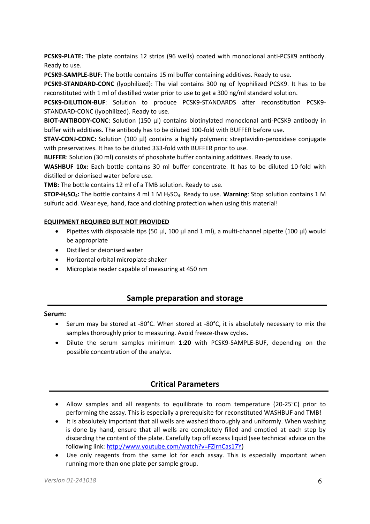**PCSK9-PLATE:** The plate contains 12 strips (96 wells) coated with monoclonal anti-PCSK9 antibody. Ready to use.

**PCSK9-SAMPLE-BUF**: The bottle contains 15 ml buffer containing additives. Ready to use.

**PCSK9-STANDARD-CONC** (lyophilized): The vial contains 300 ng of lyophilized PCSK9. It has to be reconstituted with 1 ml of destilled water prior to use to get a 300 ng/ml standard solution.

**PCSK9-DILUTION-BUF**: Solution to produce PCSK9-STANDARDS after reconstitution PCSK9- STANDARD-CONC (lyophilized). Ready to use.

**BIOT-ANTIBODY-CONC**: Solution (150 µl) contains biotinylated monoclonal anti-PCSK9 antibody in buffer with additives. The antibody has to be diluted 100-fold with BUFFER before use.

**STAV-CONJ-CONC:** Solution (100 µl) contains a highly polymeric streptavidin-peroxidase conjugate with preservatives. It has to be diluted 333-fold with BUFFER prior to use.

**BUFFER**: Solution (30 ml) consists of phosphate buffer containing additives. Ready to use.

**WASHBUF 10x:** Each bottle contains 30 ml buffer concentrate. It has to be diluted 10-fold with distilled or deionised water before use.

**TMB:** The bottle contains 12 ml of a TMB solution. Ready to use.

**STOP-H2SO4:** The bottle contains 4 ml 1 M H2SO4. Ready to use. **Warning**: Stop solution contains 1 M sulfuric acid. Wear eye, hand, face and clothing protection when using this material!

#### **EQUIPMENT REQUIRED BUT NOT PROVIDED**

- Pipettes with disposable tips (50  $\mu$ l, 100  $\mu$ l and 1 ml), a multi-channel pipette (100  $\mu$ l) would be appropriate
- Distilled or deionised water
- Horizontal orbital microplate shaker
- Microplate reader capable of measuring at 450 nm

## **Sample preparation and storage**

#### **Serum:**

- $\bullet$  Serum may be stored at -80°C. When stored at -80°C, it is absolutely necessary to mix the samples thoroughly prior to measuring. Avoid freeze-thaw cycles.
- Dilute the serum samples minimum **1:20** with PCSK9-SAMPLE-BUF, depending on the possible concentration of the analyte.

# **Critical Parameters**

- Allow samples and all reagents to equilibrate to room temperature (20-25°C) prior to performing the assay. This is especially a prerequisite for reconstituted WASHBUF and TMB!
- It is absolutely important that all wells are washed thoroughly and uniformly. When washing is done by hand, ensure that all wells are completely filled and emptied at each step by discarding the content of the plate. Carefully tap off excess liquid (see technical advice on the following link[: http://www.youtube.com/watch?v=FZirnCas17Y\)](http://www.youtube.com/watch?v=FZirnCas17Y)
- Use only reagents from the same lot for each assay. This is especially important when running more than one plate per sample group.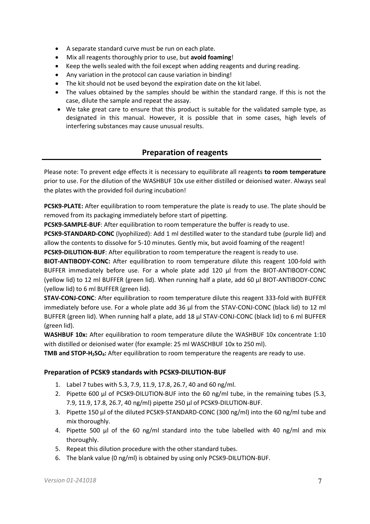- A separate standard curve must be run on each plate.
- Mix all reagents thoroughly prior to use, but **avoid foaming**!
- Keep the wells sealed with the foil except when adding reagents and during reading.
- Any variation in the protocol can cause variation in binding!
- The kit should not be used beyond the expiration date on the kit label.
- The values obtained by the samples should be within the standard range. If this is not the case, dilute the sample and repeat the assay.
- We take great care to ensure that this product is suitable for the validated sample type, as designated in this manual. However, it is possible that in some cases, high levels of interfering substances may cause unusual results.

# **Preparation of reagents**

Please note: To prevent edge effects it is necessary to equilibrate all reagents **to room temperature**  prior to use. For the dilution of the WASHBUF 10x use either distilled or deionised water. Always seal the plates with the provided foil during incubation!

**PCSK9-PLATE:** After equilibration to room temperature the plate is ready to use. The plate should be removed from its packaging immediately before start of pipetting.

**PCSK9-SAMPLE-BUF**: After equilibration to room temperature the buffer is ready to use.

**PCSK9-STANDARD-CONC** (lyophilized): Add 1 ml destilled water to the standard tube (purple lid) and allow the contents to dissolve for 5-10 minutes. Gently mix, but avoid foaming of the reagent!

**PCSK9-DILUTION-BUF**: After equilibration to room temperature the reagent is ready to use.

**BIOT-ANTIBODY-CONC:** After equilibration to room temperature dilute this reagent 100-fold with BUFFER immediately before use. For a whole plate add 120 µl from the BIOT-ANTIBODY-CONC (yellow lid) to 12 ml BUFFER (green lid). When running half a plate, add 60 µl BIOT-ANTIBODY-CONC (yellow lid) to 6 ml BUFFER (green lid).

**STAV-CONJ-CONC**: After equilibration to room temperature dilute this reagent 333-fold with BUFFER immediately before use. For a whole plate add 36 µl from the STAV-CONJ-CONC (black lid) to 12 ml BUFFER (green lid). When running half a plate, add 18 µl STAV-CONJ-CONC (black lid) to 6 ml BUFFER (green lid).

**WASHBUF 10x:** After equilibration to room temperature dilute the WASHBUF 10x concentrate 1:10 with distilled or deionised water (for example: 25 ml WASCHBUF 10x to 250 ml).

**TMB and STOP-H2SO4:** After equilibration to room temperature the reagents are ready to use.

#### **Preparation of PCSK9 standards with PCSK9-DILUTION-BUF**

- 1. Label 7 tubes with 5.3, 7.9, 11.9, 17.8, 26.7, 40 and 60 ng/ml.
- 2. Pipette 600 µl of PCSK9-DILUTION-BUF into the 60 ng/ml tube, in the remaining tubes (5.3, 7.9, 11.9, 17.8, 26.7, 40 ng/ml) pipette 250 µl of PCSK9-DILUTION-BUF.
- 3. Pipette 150 µl of the diluted PCSK9-STANDARD-CONC (300 ng/ml) into the 60 ng/ml tube and mix thoroughly.
- 4. Pipette 500 µl of the 60 ng/ml standard into the tube labelled with 40 ng/ml and mix thoroughly.
- 5. Repeat this dilution procedure with the other standard tubes.
- 6. The blank value (0 ng/ml) is obtained by using only PCSK9-DILUTION-BUF.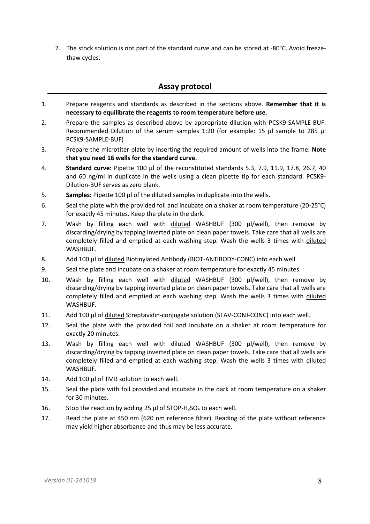7. The stock solution is not part of the standard curve and can be stored at -80°C. Avoid freezethaw cycles.

## **Assay protocol**

- 1. Prepare reagents and standards as described in the sections above. **Remember that it is necessary to equilibrate the reagents to room temperature before use**.
- 2. Prepare the samples as described above by appropriate dilution with PCSK9-SAMPLE-BUF. Recommended Dilution of the serum samples 1:20 (for example: 15 µl sample to 285 µl PCSK9-SAMPLE-BUF)
- 3. Prepare the microtiter plate by inserting the required amount of wells into the frame. **Note that you need 16 wells for the standard curve**.
- 4. **Standard curve:** Pipette 100 µl of the reconstituted standards 5.3, 7.9, 11.9, 17.8, 26.7, 40 and 60 ng/ml in duplicate in the wells using a clean pipette tip for each standard. PCSK9- Dilution-BUF serves as zero blank.
- 5. **Samples:** Pipette 100 µl of the diluted samples in duplicate into the wells.
- 6. Seal the plate with the provided foil and incubate on a shaker at room temperature (20-25°C) for exactly 45 minutes. Keep the plate in the dark.
- 7. Wash by filling each well with diluted WASHBUF (300 µl/well), then remove by discarding/drying by tapping inverted plate on clean paper towels. Take care that all wells are completely filled and emptied at each washing step. Wash the wells 3 times with diluted WASHBUF.
- 8. Add 100 µl of diluted Biotinylated Antibody (BIOT-ANTIBODY-CONC) into each well.
- 9. Seal the plate and incubate on a shaker at room temperature for exactly 45 minutes.
- 10. Wash by filling each well with diluted WASHBUF (300 µl/well), then remove by discarding/drying by tapping inverted plate on clean paper towels. Take care that all wells are completely filled and emptied at each washing step. Wash the wells 3 times with diluted WASHBUF.
- 11. Add 100 µl of diluted Streptavidin-conjugate solution (STAV-CONJ-CONC) into each well.
- 12. Seal the plate with the provided foil and incubate on a shaker at room temperature for exactly 20 minutes.
- 13. Wash by filling each well with diluted WASHBUF (300 µl/well), then remove by discarding/drying by tapping inverted plate on clean paper towels. Take care that all wells are completely filled and emptied at each washing step. Wash the wells 3 times with diluted WASHBUF.
- 14. Add 100 µl of TMB solution to each well.
- 15. Seal the plate with foil provided and incubate in the dark at room temperature on a shaker for 30 minutes.
- 16. Stop the reaction by adding 25  $\mu$ l of STOP-H<sub>2</sub>SO<sub>4</sub> to each well.
- 17. Read the plate at 450 nm (620 nm reference filter). Reading of the plate without reference may yield higher absorbance and thus may be less accurate.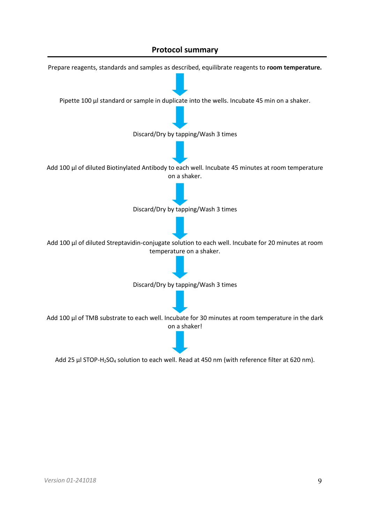# **Protocol summary**



Add 25 µl STOP-H<sub>2</sub>SO<sub>4</sub> solution to each well. Read at 450 nm (with reference filter at 620 nm).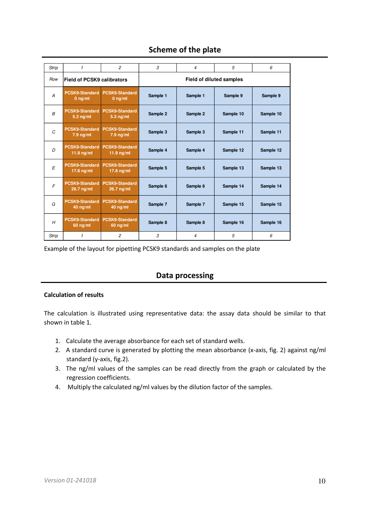# **Scheme of the plate**

| <b>Strip</b>   | $\mathbf{1}$                          | $\overline{c}$                               | 3                        | 4        | 5         | 6         |  |
|----------------|---------------------------------------|----------------------------------------------|--------------------------|----------|-----------|-----------|--|
| Row            | <b>Field of PCSK9 calibrators</b>     |                                              | Field of diluted samples |          |           |           |  |
| A              | <b>PCSK9-Standard</b><br>$0$ ng/ml    | <b>PCSK9-Standard</b><br>$0$ ng/ml           | Sample 1                 | Sample 1 | Sample 9  | Sample 9  |  |
| $\overline{B}$ | <b>PCSK9-Standard</b><br>$5.3$ ng/ml  | <b>PCSK9-Standard</b><br>$5.3$ ng/ml         | Sample 2                 | Sample 2 | Sample 10 | Sample 10 |  |
| C              | <b>PCSK9-Standard</b><br>$7.9$ ng/ml  | <b>PCSK9-Standard</b><br>$7.9 \text{ ng/ml}$ | Sample 3                 | Sample 3 | Sample 11 | Sample 11 |  |
| $\Gamma$       | <b>PCSK9-Standard</b><br>$11.9$ ng/ml | <b>PCSK9-Standard</b><br>11.9 $nq/ml$        | Sample 4                 | Sample 4 | Sample 12 | Sample 12 |  |
| E              | <b>PCSK9-Standard</b><br>17.8 $ng/ml$ | <b>PCSK9-Standard</b><br>$17.8$ ng/ml        | Sample 5                 | Sample 5 | Sample 13 | Sample 13 |  |
| $\sqrt{2}$     | <b>PCSK9-Standard</b><br>26.7 ng/ml   | <b>PCSK9-Standard</b><br>$26.7$ ng/ml        | Sample 6                 | Sample 6 | Sample 14 | Sample 14 |  |
| G              | <b>PCSK9-Standard</b><br>$40$ ng/ml   | <b>PCSK9-Standard</b><br>$40$ ng/ml          | Sample 7                 | Sample 7 | Sample 15 | Sample 15 |  |
| H              | <b>PCSK9-Standard</b><br>$60$ ng/ml   | <b>PCSK9-Standard</b><br>$60$ ng/ml          | Sample 8                 | Sample 8 | Sample 16 | Sample 16 |  |
| <b>Strip</b>   | $\mathbf{1}$                          | $\overline{c}$                               | 3                        | 4        | 5         | 6         |  |

Example of the layout for pipetting PCSK9 standards and samples on the plate

# **Data processing**

#### **Calculation of results**

The calculation is illustrated using representative data: the assay data should be similar to that shown in table 1.

- 1. Calculate the average absorbance for each set of standard wells.
- 2. A standard curve is generated by plotting the mean absorbance (x-axis, fig. 2) against ng/ml standard (y-axis, fig.2).
- 3. The ng/ml values of the samples can be read directly from the graph or calculated by the regression coefficients.
- 4. Multiply the calculated ng/ml values by the dilution factor of the samples.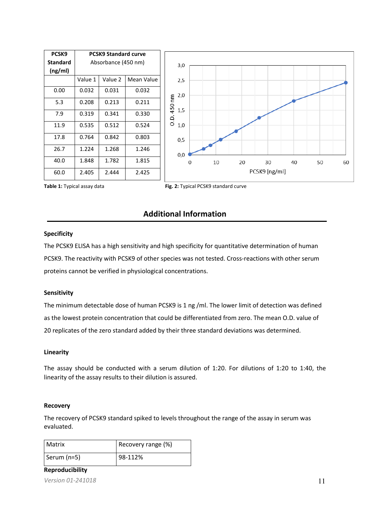| PCSK9                      |         | <b>PCSK9 Standard curve</b> |            |             |   |    |    |               |    |    |    |
|----------------------------|---------|-----------------------------|------------|-------------|---|----|----|---------------|----|----|----|
| <b>Standard</b><br>(ng/ml) |         | Absorbance (450 nm)         |            | 3,0         |   |    |    |               |    |    |    |
|                            | Value 1 | Value 2                     | Mean Value | 2,5         |   |    |    |               |    |    |    |
| 0.00                       | 0.032   | 0.031                       | 0.032      | 2,0         |   |    |    |               |    |    |    |
| 5.3                        | 0.208   | 0.213                       | 0.211      | 450 nm      |   |    |    |               |    |    |    |
| 7.9                        | 0.319   | 0.341                       | 0.330      | 1,5<br>O.D. |   |    |    |               |    |    |    |
| 11.9                       | 0.535   | 0.512                       | 0.524      | 1,0         |   |    |    |               |    |    |    |
| 17.8                       | 0.764   | 0.842                       | 0.803      | 0,5         |   |    |    |               |    |    |    |
| 26.7                       | 1.224   | 1.268                       | 1.246      | 0,0         |   |    |    |               |    |    |    |
| 40.0                       | 1.848   | 1.782                       | 1.815      |             | 0 | 10 | 20 | 30            | 40 | 50 | 60 |
| 60.0                       | 2.405   | 2.444                       | 2.425      |             |   |    |    | PCSK9 [ng/ml] |    |    |    |



## **Additional Information**

#### **Specificity**

The PCSK9 ELISA has a high sensitivity and high specificity for quantitative determination of human PCSK9. The reactivity with PCSK9 of other species was not tested. Cross-reactions with other serum proteins cannot be verified in physiological concentrations.

#### **Sensitivity**

The minimum detectable dose of human PCSK9 is 1 ng /ml. The lower limit of detection was defined as the lowest protein concentration that could be differentiated from zero. The mean O.D. value of 20 replicates of the zero standard added by their three standard deviations was determined.

#### **Linearity**

The assay should be conducted with a serum dilution of 1:20. For dilutions of 1:20 to 1:40, the linearity of the assay results to their dilution is assured.

#### **Recovery**

The recovery of PCSK9 standard spiked to levels throughout the range of the assay in serum was evaluated.

| l Matrix    | Recovery range (%) |
|-------------|--------------------|
| Serum (n=5) | 98-112%            |

*Version 01-241018* 11 **Reproducibility**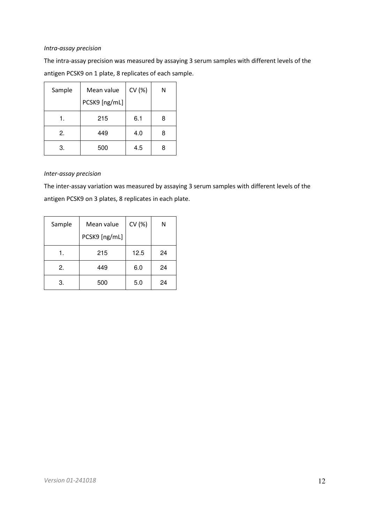#### *Intra-assay precision*

The intra-assay precision was measured by assaying 3 serum samples with different levels of the antigen PCSK9 on 1 plate, 8 replicates of each sample.

| Sample | Mean value    | CV (%) | N |
|--------|---------------|--------|---|
|        | PCSK9 [ng/mL] |        |   |
| 1.     | 215           | 6.1    | 8 |
| 2.     | 449           | 4.0    | 8 |
| 3.     | 500           | 4.5    |   |

#### *Inter-assay precision*

The inter-assay variation was measured by assaying 3 serum samples with different levels of the antigen PCSK9 on 3 plates, 8 replicates in each plate.

| Sample | Mean value    | CV (%) | Ν  |
|--------|---------------|--------|----|
|        | PCSK9 [ng/mL] |        |    |
| 1.     | 215           | 12.5   | 24 |
| 2.     | 449           | 6.0    | 24 |
| 3.     | 500           | 5.0    | 24 |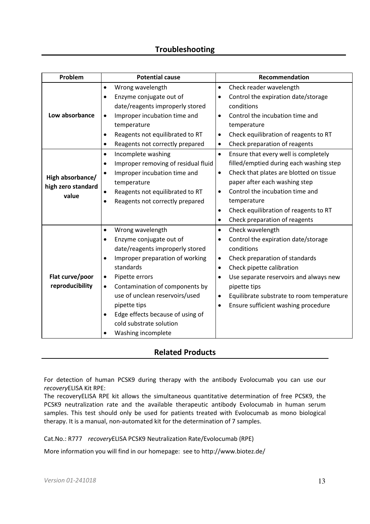| Problem            | <b>Potential cause</b>                           | Recommendation                                         |
|--------------------|--------------------------------------------------|--------------------------------------------------------|
|                    | Wrong wavelength<br>$\bullet$                    | Check reader wavelength<br>$\bullet$                   |
|                    | Enzyme conjugate out of                          | Control the expiration date/storage<br>$\bullet$       |
|                    | date/reagents improperly stored                  | conditions                                             |
| Low absorbance     | Improper incubation time and<br>$\bullet$        | Control the incubation time and<br>$\bullet$           |
|                    | temperature                                      | temperature                                            |
|                    | Reagents not equilibrated to RT<br>$\bullet$     | Check equilibration of reagents to RT<br>$\bullet$     |
|                    | Reagents not correctly prepared<br>٠             | Check preparation of reagents<br>$\bullet$             |
|                    | Incomplete washing<br>$\bullet$                  | Ensure that every well is completely<br>$\bullet$      |
|                    | Improper removing of residual fluid<br>$\bullet$ | filled/emptied during each washing step                |
| High absorbance/   | Improper incubation time and<br>$\bullet$        | Check that plates are blotted on tissue<br>$\bullet$   |
| high zero standard | temperature                                      | paper after each washing step                          |
| value              | Reagents not equilibrated to RT                  | Control the incubation time and<br>$\bullet$           |
|                    | Reagents not correctly prepared                  | temperature                                            |
|                    |                                                  | Check equilibration of reagents to RT<br>$\bullet$     |
|                    |                                                  | Check preparation of reagents<br>$\bullet$             |
|                    | Wrong wavelength<br>$\bullet$                    | Check wavelength<br>$\bullet$                          |
|                    | Enzyme conjugate out of                          | Control the expiration date/storage<br>٠               |
|                    | date/reagents improperly stored                  | conditions                                             |
|                    | Improper preparation of working                  | Check preparation of standards<br>$\bullet$            |
|                    | standards                                        | Check pipette calibration<br>$\bullet$                 |
| Flat curve/poor    | Pipette errors<br>$\bullet$                      | Use separate reservoirs and always new<br>$\bullet$    |
| reproducibility    | Contamination of components by<br>$\bullet$      | pipette tips                                           |
|                    | use of unclean reservoirs/used                   | Equilibrate substrate to room temperature<br>$\bullet$ |
|                    | pipette tips                                     | Ensure sufficient washing procedure<br>$\bullet$       |
|                    | Edge effects because of using of                 |                                                        |
|                    | cold substrate solution                          |                                                        |
|                    | Washing incomplete                               |                                                        |

# **Related Products**

For detection of human PCSK9 during therapy with the antibody Evolocumab you can use our *recovery*ELISA Kit RPE:

The recoveryELISA RPE kit allows the simultaneous quantitative determination of free PCSK9, the PCSK9 neutralization rate and the available therapeutic antibody Evolocumab in human serum samples. This test should only be used for patients treated with Evolocumab as mono biological therapy. It is a manual, non-automated kit for the determination of 7 samples.

Cat.No.: R777 *recovery*ELISA PCSK9 Neutralization Rate/Evolocumab (RPE)

More information you will find in our homepage: see to http://www.biotez.de/